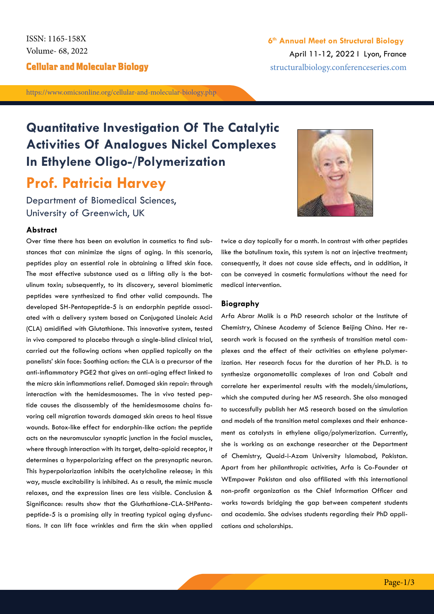Volume- 68, 2022 ISSN: 1165-158X

https://www.omicsonline.org/cellular-and-molecular-biology.php

# **Quantitative Investigation Of The Catalytic Activities Of Analogues Nickel Complexes In Ethylene Oligo-/Polymerization Prof. Patricia Harvey**

Department of Biomedical Sciences, University of Greenwich, UK

### **Abstract**

Over time there has been an evolution in cosmetics to find substances that can minimize the signs of aging. In this scenario, peptides play an essential role in obtaining a lifted skin face. The most effective substance used as a lifting ally is the botulinum toxin; subsequently, to its discovery, several biomimetic peptides were synthesized to find other valid compounds. The developed SH-Pentapeptide-5 is an endorphin peptide associated with a delivery system based on Conjugated Linoleic Acid (CLA) amidified with Glutathione. This innovative system, tested in vivo compared to placebo through a single-blind clinical trial, carried out the following actions when applied topically on the panelists' skin face: Soothing action: the CLA is a precursor of the anti-inflammatory PGE2 that gives an anti-aging effect linked to the micro skin inflammations relief. Damaged skin repair: through interaction with the hemidesmosomes. The in vivo tested peptide causes the disassembly of the hemidesmosome chains favoring cell migration towards damaged skin areas to heal tissue wounds. Botox-like effect for endorphin-like action: the peptide acts on the neuromuscular synaptic junction in the facial muscles, where through interaction with its target, delta-opioid receptor, it determines a hyperpolarizing effect on the presynaptic neuron. This hyperpolarization inhibits the acetylcholine release; in this way, muscle excitability is inhibited. As a result, the mimic muscle relaxes, and the expression lines are less visible. Conclusion & Significance: results show that the Gluthathione-CLA-SHPentapeptide-5 is a promising ally in treating typical aging dysfunctions. It can lift face wrinkles and firm the skin when applied

twice a day topically for a month. In contrast with other peptides like the botulinum toxin, this system is not an injective treatment; consequently, it does not cause side effects, and in addition, it can be conveyed in cosmetic formulations without the need for medical intervention.

#### **Biography**

Arfa Abrar Malik is a PhD research scholar at the Institute of Chemistry, Chinese Academy of Science Beijing China. Her research work is focused on the synthesis of transition metal complexes and the effect of their activities on ethylene polymerization. Her research focus for the duration of her Ph.D. is to synthesize organometallic complexes of Iron and Cobalt and correlate her experimental results with the models/simulations, which she computed during her MS research. She also managed to successfully publish her MS research based on the simulation and models of the transition metal complexes and their enhancement as catalysts in ethylene oligo/polymerization. Currently, she is working as an exchange researcher at the Department of Chemistry, Quaid-i-Azam University Islamabad, Pakistan. Apart from her philanthropic activities, Arfa is Co-Founder at WEmpower Pakistan and also affiliated with this international non-profit organization as the Chief Information Officer and works towards bridging the gap between competent students and academia. She advises students regarding their PhD applications and scholarships.

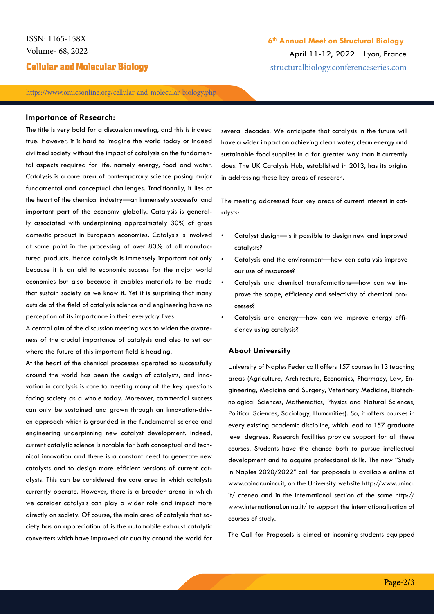# **Cellular and Molecular Biology** Structuralbiology.conferenceseries.com

https://www.omicsonline.org/cellular-and-molecular-biology.php

#### **Importance of Research:**

The title is very bold for a discussion meeting, and this is indeed true. However, it is hard to imagine the world today or indeed civilized society without the impact of catalysis on the fundamental aspects required for life, namely energy, food and water. Catalysis is a core area of contemporary science posing major fundamental and conceptual challenges. Traditionally, it lies at the heart of the chemical industry—an immensely successful and important part of the economy globally. Catalysis is generally associated with underpinning approximately 30% of gross domestic product in European economies. Catalysis is involved at some point in the processing of over 80% of all manufactured products. Hence catalysis is immensely important not only because it is an aid to economic success for the major world economies but also because it enables materials to be made that sustain society as we know it. Yet it is surprising that many outside of the field of catalysis science and engineering have no perception of its importance in their everyday lives.

A central aim of the discussion meeting was to widen the awareness of the crucial importance of catalysis and also to set out where the future of this important field is heading.

At the heart of the chemical processes operated so successfully around the world has been the design of catalysts, and innovation in catalysis is core to meeting many of the key questions facing society as a whole today. Moreover, commercial success can only be sustained and grown through an innovation-driven approach which is grounded in the fundamental science and engineering underpinning new catalyst development. Indeed, current catalytic science is notable for both conceptual and technical innovation and there is a constant need to generate new catalysts and to design more efficient versions of current catalysts. This can be considered the core area in which catalysts currently operate. However, there is a broader arena in which we consider catalysis can play a wider role and impact more directly on society. Of course, the main area of catalysis that society has an appreciation of is the automobile exhaust catalytic converters which have improved air quality around the world for

several decades. We anticipate that catalysis in the future will have a wider impact on achieving clean water, clean energy and sustainable food supplies in a far greater way than it currently does. The UK Catalysis Hub, established in 2013, has its origins in addressing these key areas of research.

**6th Annual Meet on Structural Biology**

April 11-12, 2022 I Lyon, France

The meeting addressed four key areas of current interest in catalysts:

- Catalyst design—is it possible to design new and improved catalysts?
- Catalysis and the environment—how can catalysis improve our use of resources?
- Catalysis and chemical transformations—how can we improve the scope, efficiency and selectivity of chemical processes?
- Catalysis and energy-how can we improve energy efficiency using catalysis?

### **About University**

University of Naples Federico II offers 157 courses in 13 teaching areas (Agriculture, Architecture, Economics, Pharmacy, Law, Engineering, Medicine and Surgery, Veterinary Medicine, Biotechnological Sciences, Mathematics, Physics and Natural Sciences, Political Sciences, Sociology, Humanities). So, it offers courses in every existing academic discipline, which lead to 157 graduate level degrees. Research facilities provide support for all these courses. Students have the chance both to pursue intellectual development and to acquire professional skills. The new "Study in Naples 2020/2022" call for proposals is available online at www.coinor.unina.it, on the University website http://www.unina. it/ ateneo and in the international section of the same http:// www.international.unina.it/ to support the internationalisation of courses of study.

The Call for Proposals is aimed at incoming students equipped